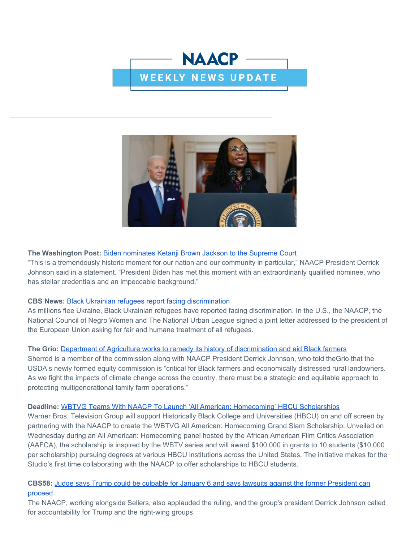



## **The Washington Post:** [Biden nominates Ketanji Brown Jackson to the Supreme Court](https://click.everyaction.com/k/43124517/335821079/-1739068411?nvep=ew0KICAiVGVuYW50VXJpIjogIm5ncHZhbjovL3Zhbi9UU00vVFNNTlAvMS8yODIzNiIsDQogICJEaXN0cmlidXRpb25VbmlxdWVJZCI6ICIzYWE0YjljMi0wNmE3LWVjMTEtYTIyYS0yODE4NzhiODUxMTAiLA0KICAiRW1haWxBZGRyZXNzIjogInNyYWdzaWVAZ21haWwuY29tIg0KfQ%3D%3D&hmac=K-nvraYaukU6dniAjcBRDJ4X6TzHfjQ94Xkxt0HNCkQ=&emci=ad30751d-e1a6-ec11-a22a-281878b85110&emdi=3aa4b9c2-06a7-ec11-a22a-281878b85110&ceid=2255883)

"This is a tremendously historic moment for our nation and our community in particular," NAACP President Derrick Johnson said in a statement. "President Biden has met this moment with an extraordinarily qualified nominee, who has stellar credentials and an impeccable background."

#### **CBS News:** [Black Ukrainian refugees report facing discrimination](https://click.everyaction.com/k/43124518/335821081/368102482?nvep=ew0KICAiVGVuYW50VXJpIjogIm5ncHZhbjovL3Zhbi9UU00vVFNNTlAvMS8yODIzNiIsDQogICJEaXN0cmlidXRpb25VbmlxdWVJZCI6ICIzYWE0YjljMi0wNmE3LWVjMTEtYTIyYS0yODE4NzhiODUxMTAiLA0KICAiRW1haWxBZGRyZXNzIjogInNyYWdzaWVAZ21haWwuY29tIg0KfQ%3D%3D&hmac=K-nvraYaukU6dniAjcBRDJ4X6TzHfjQ94Xkxt0HNCkQ=&emci=ad30751d-e1a6-ec11-a22a-281878b85110&emdi=3aa4b9c2-06a7-ec11-a22a-281878b85110&ceid=2255883)

As millions flee Ukraine, Black Ukrainian refugees have reported facing discrimination. In the U.S., the NAACP, the National Council of Negro Women and The National Urban League signed a joint letter addressed to the president of the European Union asking for fair and humane treatment of all refugees.

#### **The Grio:** [Department of Agriculture works to remedy its history of discrimination and aid Black farmers](https://click.everyaction.com/k/43124520/335821083/-966112231?nvep=ew0KICAiVGVuYW50VXJpIjogIm5ncHZhbjovL3Zhbi9UU00vVFNNTlAvMS8yODIzNiIsDQogICJEaXN0cmlidXRpb25VbmlxdWVJZCI6ICIzYWE0YjljMi0wNmE3LWVjMTEtYTIyYS0yODE4NzhiODUxMTAiLA0KICAiRW1haWxBZGRyZXNzIjogInNyYWdzaWVAZ21haWwuY29tIg0KfQ%3D%3D&hmac=K-nvraYaukU6dniAjcBRDJ4X6TzHfjQ94Xkxt0HNCkQ=&emci=ad30751d-e1a6-ec11-a22a-281878b85110&emdi=3aa4b9c2-06a7-ec11-a22a-281878b85110&ceid=2255883)

Sherrod is a member of the commission along with NAACP President Derrick Johnson, who told theGrio that the USDA's newly formed equity commission is "critical for Black farmers and economically distressed rural landowners. As we fight the impacts of climate change across the country, there must be a strategic and equitable approach to protecting multigenerational family farm operations."

#### **Deadline:** [WBTVG Teams With NAACP To Launch 'All American: Homecoming' HBCU Scholarships](https://click.everyaction.com/k/43124522/335821085/-909618424?nvep=ew0KICAiVGVuYW50VXJpIjogIm5ncHZhbjovL3Zhbi9UU00vVFNNTlAvMS8yODIzNiIsDQogICJEaXN0cmlidXRpb25VbmlxdWVJZCI6ICIzYWE0YjljMi0wNmE3LWVjMTEtYTIyYS0yODE4NzhiODUxMTAiLA0KICAiRW1haWxBZGRyZXNzIjogInNyYWdzaWVAZ21haWwuY29tIg0KfQ%3D%3D&hmac=K-nvraYaukU6dniAjcBRDJ4X6TzHfjQ94Xkxt0HNCkQ=&emci=ad30751d-e1a6-ec11-a22a-281878b85110&emdi=3aa4b9c2-06a7-ec11-a22a-281878b85110&ceid=2255883)

Warner Bros. Television Group will support Historically Black College and Universities (HBCU) on and off screen by partnering with the NAACP to create the WBTVG All American: Homecoming Grand Slam Scholarship. Unveiled on Wednesday during an All American: Homecoming panel hosted by the African American Film Critics Association (AAFCA), the scholarship is inspired by the WBTV series and will award \$100,000 in grants to 10 students (\$10,000 per scholarship) pursuing degrees at various HBCU institutions across the United States. The initiative makes for the Studio's first time collaborating with the NAACP to offer scholarships to HBCU students.

## **CBS58:** [Judge says Trump could be culpable for January 6 and says lawsuits against the former President can](https://click.everyaction.com/k/43124525/335821087/1088993904?nvep=ew0KICAiVGVuYW50VXJpIjogIm5ncHZhbjovL3Zhbi9UU00vVFNNTlAvMS8yODIzNiIsDQogICJEaXN0cmlidXRpb25VbmlxdWVJZCI6ICIzYWE0YjljMi0wNmE3LWVjMTEtYTIyYS0yODE4NzhiODUxMTAiLA0KICAiRW1haWxBZGRyZXNzIjogInNyYWdzaWVAZ21haWwuY29tIg0KfQ%3D%3D&hmac=K-nvraYaukU6dniAjcBRDJ4X6TzHfjQ94Xkxt0HNCkQ=&emci=ad30751d-e1a6-ec11-a22a-281878b85110&emdi=3aa4b9c2-06a7-ec11-a22a-281878b85110&ceid=2255883) [proceed](https://click.everyaction.com/k/43124525/335821087/1088993904?nvep=ew0KICAiVGVuYW50VXJpIjogIm5ncHZhbjovL3Zhbi9UU00vVFNNTlAvMS8yODIzNiIsDQogICJEaXN0cmlidXRpb25VbmlxdWVJZCI6ICIzYWE0YjljMi0wNmE3LWVjMTEtYTIyYS0yODE4NzhiODUxMTAiLA0KICAiRW1haWxBZGRyZXNzIjogInNyYWdzaWVAZ21haWwuY29tIg0KfQ%3D%3D&hmac=K-nvraYaukU6dniAjcBRDJ4X6TzHfjQ94Xkxt0HNCkQ=&emci=ad30751d-e1a6-ec11-a22a-281878b85110&emdi=3aa4b9c2-06a7-ec11-a22a-281878b85110&ceid=2255883)

The NAACP, working alongside Sellers, also applauded the ruling, and the group's president Derrick Johnson called for accountability for Trump and the right-wing groups.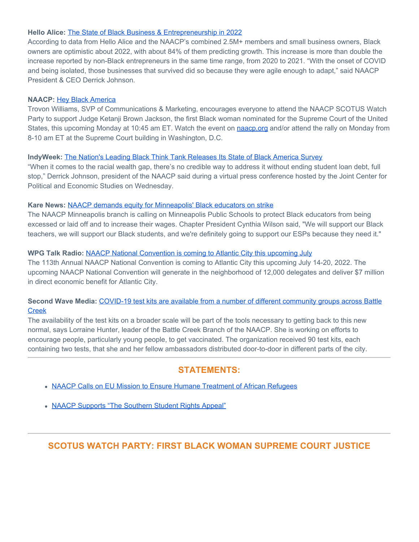### **Hello Alice:** [The State of Black Business & Entrepreneurship in 2022](https://click.everyaction.com/k/43124527/335821089/-1370484413?nvep=ew0KICAiVGVuYW50VXJpIjogIm5ncHZhbjovL3Zhbi9UU00vVFNNTlAvMS8yODIzNiIsDQogICJEaXN0cmlidXRpb25VbmlxdWVJZCI6ICIzYWE0YjljMi0wNmE3LWVjMTEtYTIyYS0yODE4NzhiODUxMTAiLA0KICAiRW1haWxBZGRyZXNzIjogInNyYWdzaWVAZ21haWwuY29tIg0KfQ%3D%3D&hmac=K-nvraYaukU6dniAjcBRDJ4X6TzHfjQ94Xkxt0HNCkQ=&emci=ad30751d-e1a6-ec11-a22a-281878b85110&emdi=3aa4b9c2-06a7-ec11-a22a-281878b85110&ceid=2255883)

According to data from Hello Alice and the NAACP's combined 2.5M+ members and small business owners, Black owners are optimistic about 2022, with about 84% of them predicting growth. This increase is more than double the increase reported by non-Black entrepreneurs in the same time range, from 2020 to 2021. "With the onset of COVID and being isolated, those businesses that survived did so because they were agile enough to adapt," said NAACP President & CEO Derrick Johnson.

#### **NAACP:** [Hey Black America](https://click.everyaction.com/k/43124529/335821091/-1054897980?utm_medium=copy_link&nvep=ew0KICAiVGVuYW50VXJpIjogIm5ncHZhbjovL3Zhbi9UU00vVFNNTlAvMS8yODIzNiIsDQogICJEaXN0cmlidXRpb25VbmlxdWVJZCI6ICIzYWE0YjljMi0wNmE3LWVjMTEtYTIyYS0yODE4NzhiODUxMTAiLA0KICAiRW1haWxBZGRyZXNzIjogInNyYWdzaWVAZ21haWwuY29tIg0KfQ%3D%3D&hmac=K-nvraYaukU6dniAjcBRDJ4X6TzHfjQ94Xkxt0HNCkQ=&emci=ad30751d-e1a6-ec11-a22a-281878b85110&emdi=3aa4b9c2-06a7-ec11-a22a-281878b85110&ceid=2255883)

Trovon Williams, SVP of Communications & Marketing, encourages everyone to attend the NAACP SCOTUS Watch Party to support Judge Ketanji Brown Jackson, the first Black woman nominated for the Supreme Court of the United States, this upcoming Monday at 10:45 am ET. Watch the event on [naacp.org](https://click.everyaction.com/k/43124530/335821092/447539235?nvep=ew0KICAiVGVuYW50VXJpIjogIm5ncHZhbjovL3Zhbi9UU00vVFNNTlAvMS8yODIzNiIsDQogICJEaXN0cmlidXRpb25VbmlxdWVJZCI6ICIzYWE0YjljMi0wNmE3LWVjMTEtYTIyYS0yODE4NzhiODUxMTAiLA0KICAiRW1haWxBZGRyZXNzIjogInNyYWdzaWVAZ21haWwuY29tIg0KfQ%3D%3D&hmac=K-nvraYaukU6dniAjcBRDJ4X6TzHfjQ94Xkxt0HNCkQ=&emci=ad30751d-e1a6-ec11-a22a-281878b85110&emdi=3aa4b9c2-06a7-ec11-a22a-281878b85110&ceid=2255883) and/or attend the rally on Monday from 8-10 am ET at the Supreme Court building in Washington, D.C.

#### **IndyWeek:** [The Nation's Leading Black Think Tank Releases Its State of Black America Survey](https://click.everyaction.com/k/43124531/335821095/-1540422027?nvep=ew0KICAiVGVuYW50VXJpIjogIm5ncHZhbjovL3Zhbi9UU00vVFNNTlAvMS8yODIzNiIsDQogICJEaXN0cmlidXRpb25VbmlxdWVJZCI6ICIzYWE0YjljMi0wNmE3LWVjMTEtYTIyYS0yODE4NzhiODUxMTAiLA0KICAiRW1haWxBZGRyZXNzIjogInNyYWdzaWVAZ21haWwuY29tIg0KfQ%3D%3D&hmac=K-nvraYaukU6dniAjcBRDJ4X6TzHfjQ94Xkxt0HNCkQ=&emci=ad30751d-e1a6-ec11-a22a-281878b85110&emdi=3aa4b9c2-06a7-ec11-a22a-281878b85110&ceid=2255883)

"When it comes to the racial wealth gap, there's no credible way to address it without ending student loan debt, full stop," Derrick Johnson, president of the NAACP said during a virtual press conference hosted by the Joint Center for Political and Economic Studies on Wednesday.

### **Kare News:** [NAACP demands equity for Minneapolis' Black educators on strike](https://click.everyaction.com/k/43124532/335821096/-1257861577?nvep=ew0KICAiVGVuYW50VXJpIjogIm5ncHZhbjovL3Zhbi9UU00vVFNNTlAvMS8yODIzNiIsDQogICJEaXN0cmlidXRpb25VbmlxdWVJZCI6ICIzYWE0YjljMi0wNmE3LWVjMTEtYTIyYS0yODE4NzhiODUxMTAiLA0KICAiRW1haWxBZGRyZXNzIjogInNyYWdzaWVAZ21haWwuY29tIg0KfQ%3D%3D&hmac=K-nvraYaukU6dniAjcBRDJ4X6TzHfjQ94Xkxt0HNCkQ=&emci=ad30751d-e1a6-ec11-a22a-281878b85110&emdi=3aa4b9c2-06a7-ec11-a22a-281878b85110&ceid=2255883)

The NAACP Minneapolis branch is calling on Minneapolis Public Schools to protect Black educators from being excessed or laid off and to increase their wages. Chapter President Cynthia Wilson said, "We will support our Black teachers, we will support our Black students, and we're definitely going to support our ESPs because they need it."

### **WPG Talk Radio:** [NAACP National Convention is coming to Atlantic City this upcoming July](https://click.everyaction.com/k/43124533/335821097/-246056884?nvep=ew0KICAiVGVuYW50VXJpIjogIm5ncHZhbjovL3Zhbi9UU00vVFNNTlAvMS8yODIzNiIsDQogICJEaXN0cmlidXRpb25VbmlxdWVJZCI6ICIzYWE0YjljMi0wNmE3LWVjMTEtYTIyYS0yODE4NzhiODUxMTAiLA0KICAiRW1haWxBZGRyZXNzIjogInNyYWdzaWVAZ21haWwuY29tIg0KfQ%3D%3D&hmac=K-nvraYaukU6dniAjcBRDJ4X6TzHfjQ94Xkxt0HNCkQ=&emci=ad30751d-e1a6-ec11-a22a-281878b85110&emdi=3aa4b9c2-06a7-ec11-a22a-281878b85110&ceid=2255883)

The 113th Annual NAACP National Convention is coming to Atlantic City this upcoming July 14-20, 2022. The upcoming NAACP National Convention will generate in the neighborhood of 12,000 delegates and deliver \$7 million in direct economic benefit for Atlantic City.

# **Second Wave Media:** [COVID-19 test kits are available from a number of different community groups across Battle](https://click.everyaction.com/k/43124534/335821099/-140464482?nvep=ew0KICAiVGVuYW50VXJpIjogIm5ncHZhbjovL3Zhbi9UU00vVFNNTlAvMS8yODIzNiIsDQogICJEaXN0cmlidXRpb25VbmlxdWVJZCI6ICIzYWE0YjljMi0wNmE3LWVjMTEtYTIyYS0yODE4NzhiODUxMTAiLA0KICAiRW1haWxBZGRyZXNzIjogInNyYWdzaWVAZ21haWwuY29tIg0KfQ%3D%3D&hmac=K-nvraYaukU6dniAjcBRDJ4X6TzHfjQ94Xkxt0HNCkQ=&emci=ad30751d-e1a6-ec11-a22a-281878b85110&emdi=3aa4b9c2-06a7-ec11-a22a-281878b85110&ceid=2255883) [Creek](https://click.everyaction.com/k/43124534/335821099/-140464482?nvep=ew0KICAiVGVuYW50VXJpIjogIm5ncHZhbjovL3Zhbi9UU00vVFNNTlAvMS8yODIzNiIsDQogICJEaXN0cmlidXRpb25VbmlxdWVJZCI6ICIzYWE0YjljMi0wNmE3LWVjMTEtYTIyYS0yODE4NzhiODUxMTAiLA0KICAiRW1haWxBZGRyZXNzIjogInNyYWdzaWVAZ21haWwuY29tIg0KfQ%3D%3D&hmac=K-nvraYaukU6dniAjcBRDJ4X6TzHfjQ94Xkxt0HNCkQ=&emci=ad30751d-e1a6-ec11-a22a-281878b85110&emdi=3aa4b9c2-06a7-ec11-a22a-281878b85110&ceid=2255883)

The availability of the test kits on a broader scale will be part of the tools necessary to getting back to this new normal, says Lorraine Hunter, leader of the Battle Creek Branch of the NAACP. She is working on efforts to encourage people, particularly young people, to get vaccinated. The organization received 90 test kits, each containing two tests, that she and her fellow ambassadors distributed door-to-door in different parts of the city.

# **STATEMENTS:**

- [NAACP Calls on EU Mission to Ensure Humane Treatment of African Refugees](https://click.everyaction.com/k/43124535/335821100/-1140577053?nvep=ew0KICAiVGVuYW50VXJpIjogIm5ncHZhbjovL3Zhbi9UU00vVFNNTlAvMS8yODIzNiIsDQogICJEaXN0cmlidXRpb25VbmlxdWVJZCI6ICIzYWE0YjljMi0wNmE3LWVjMTEtYTIyYS0yODE4NzhiODUxMTAiLA0KICAiRW1haWxBZGRyZXNzIjogInNyYWdzaWVAZ21haWwuY29tIg0KfQ%3D%3D&hmac=K-nvraYaukU6dniAjcBRDJ4X6TzHfjQ94Xkxt0HNCkQ=&emci=ad30751d-e1a6-ec11-a22a-281878b85110&emdi=3aa4b9c2-06a7-ec11-a22a-281878b85110&ceid=2255883)
- [NAACP Supports "The Southern Student Rights Appeal"](https://click.everyaction.com/k/43124536/335821101/862233797?nvep=ew0KICAiVGVuYW50VXJpIjogIm5ncHZhbjovL3Zhbi9UU00vVFNNTlAvMS8yODIzNiIsDQogICJEaXN0cmlidXRpb25VbmlxdWVJZCI6ICIzYWE0YjljMi0wNmE3LWVjMTEtYTIyYS0yODE4NzhiODUxMTAiLA0KICAiRW1haWxBZGRyZXNzIjogInNyYWdzaWVAZ21haWwuY29tIg0KfQ%3D%3D&hmac=K-nvraYaukU6dniAjcBRDJ4X6TzHfjQ94Xkxt0HNCkQ=&emci=ad30751d-e1a6-ec11-a22a-281878b85110&emdi=3aa4b9c2-06a7-ec11-a22a-281878b85110&ceid=2255883)

# **SCOTUS WATCH PARTY: FIRST BLACK WOMAN SUPREME COURT JUSTICE**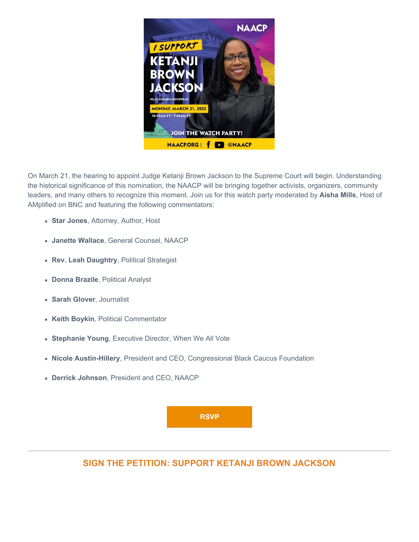

On March 21, the hearing to appoint Judge Ketanji Brown Jackson to the Supreme Court will begin. Understanding the historical significance of this nomination, the NAACP will be bringing together activists, organizers, community leaders, and many others to recognize this moment. Join us for this watch party moderated by **Aisha Mills**, Host of AMplified on BNC and featuring the following commentators:

- **Star Jones**, Attorney, Author, Host
- **Janette Wallace**, General Counsel, NAACP
- **Rev. Leah Daughtry**, Political Strategist
- **Donna Brazile**, Political Analyst
- **Sarah Glover**, Journalist
- **Keith Boykin**, Political Commentator
- **Stephanie Young**, Executive Director, When We All Vote
- **Nicole Austin-Hillery**, President and CEO, Congressional Black Caucus Foundation
- **Derrick Johnson**, President and CEO, NAACP



**SIGN THE PETITION: SUPPORT KETANJI BROWN JACKSON**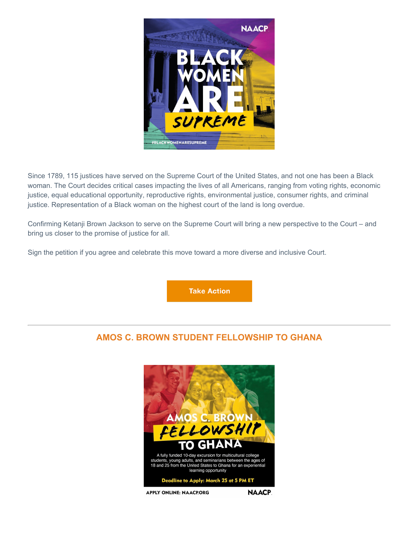

Since 1789, 115 justices have served on the Supreme Court of the United States, and not one has been a Black woman. The Court decides critical cases impacting the lives of all Americans, ranging from voting rights, economic justice, equal educational opportunity, reproductive rights, environmental justice, consumer rights, and criminal justice. Representation of a Black woman on the highest court of the land is long overdue.

Confirming Ketanji Brown Jackson to serve on the Supreme Court will bring a new perspective to the Court – and bring us closer to the promise of justice for all.

Sign the petition if you agree and celebrate this move toward a more diverse and inclusive Court.

**Take Action** 

# **AMOS C. BROWN STUDENT FELLOWSHIP TO GHANA**



**APPLY ONLINE: NAACPORG** 

**NAACP.**